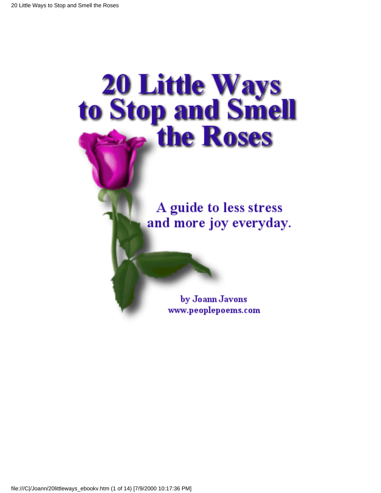# **20 Little Ways<br>to Stop and Smell<br>the Roses**

A guide to less stress and more joy everyday.

> by Joann Javons www.peoplepoems.com

file:///C|/Joann/20littleways\_ebookv.htm (1 of 14) [7/9/2000 10:17:36 PM]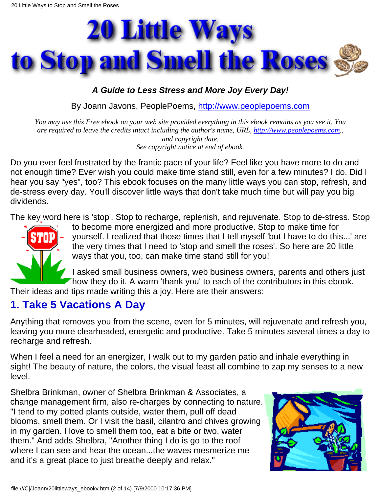

#### *A Guide to Less Stress and More Joy Every Day!*

By Joann Javons, PeoplePoems, [http://www.peoplepoems.com](http://www.peoplepoems.com%20/)

*You may use this Free ebook on your web site provided everything in this ebook remains as you see it. You are required to leave the credits intact including the author's name, URL, [http://www.peoplepoems.com](http://www.peoplepoems.com%20/)., and copyright date. See copyright notice at end of ebook.*

Do you ever feel frustrated by the frantic pace of your life? Feel like you have more to do and not enough time? Ever wish you could make time stand still, even for a few minutes? I do. Did I hear you say "yes", too? This ebook focuses on the many little ways you can stop, refresh, and de-stress every day. You'll discover little ways that don't take much time but will pay you big dividends.

The key word here is 'stop'. Stop to recharge, replenish, and rejuvenate. Stop to de-stress. Stop



to become more energized and more productive. Stop to make time for yourself. I realized that those times that I tell myself 'but I have to do this...' are the very times that I need to 'stop and smell the roses'. So here are 20 little ways that you, too, can make time stand still for you!

I asked small business owners, web business owners, parents and others just Thow they do it. A warm 'thank you' to each of the contributors in this ebook.

Their ideas and tips made writing this a joy. Here are their answers:

#### **1. Take 5 Vacations A Day**

Anything that removes you from the scene, even for 5 minutes, will rejuvenate and refresh you, leaving you more clearheaded, energetic and productive. Take 5 minutes several times a day to recharge and refresh.

When I feel a need for an energizer, I walk out to my garden patio and inhale everything in sight! The beauty of nature, the colors, the visual feast all combine to zap my senses to a new level.

Shelbra Brinkman, owner of Shelbra Brinkman & Associates, a change management firm, also re-charges by connecting to nature. "I tend to my potted plants outside, water them, pull off dead blooms, smell them. Or I visit the basil, cilantro and chives growing in my garden. I love to smell them too, eat a bite or two, water them." And adds Shelbra, "Another thing I do is go to the roof where I can see and hear the ocean...the waves mesmerize me and it's a great place to just breathe deeply and relax."

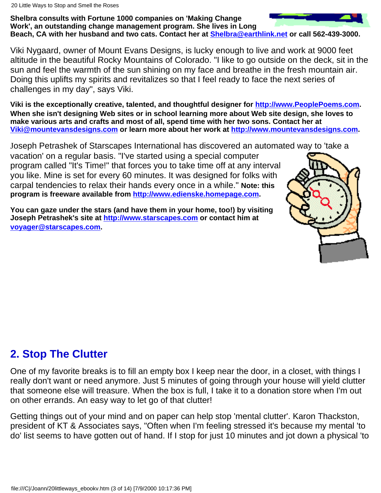#### **Shelbra consults with Fortune 1000 companies on 'Making Change Work', an outstanding change management program. She lives in Long Beach, CA with her husband and two cats. Contact her at [Shelbra@earthlink.net](mailto:Shelbra@earthlink.net) or call 562-439-3000.**

Viki Nygaard, owner of Mount Evans Designs, is lucky enough to live and work at 9000 feet altitude in the beautiful Rocky Mountains of Colorado. "I like to go outside on the deck, sit in the sun and feel the warmth of the sun shining on my face and breathe in the fresh mountain air. Doing this uplifts my spirits and revitalizes so that I feel ready to face the next series of challenges in my day", says Viki.

**Viki is the exceptionally creative, talented, and thoughtful designer for [http://www.PeoplePoems.com.](http://www.peoplepoems.com%20/) When she isn't designing Web sites or in school learning more about Web site design, she loves to make various arts and crafts and most of all, spend time with her two sons. Contact her at [Viki@mountevansdesigns.com](mailto:viki@mountevansdesigns.com) or learn more about her work at [http://www.mountevansdesigns.com](http://www.mountevansdesigns.com/).**

Joseph Petrashek of Starscapes International has discovered an automated way to 'take a

vacation' on a regular basis. "I've started using a special computer program called "It's Time!" that forces you to take time off at any interval you like. Mine is set for every 60 minutes. It was designed for folks with carpal tendencies to relax their hands every once in a while." **Note: this program is freeware available from [http://www.edienske.homepage.com](http://www.edienske.homepage.com/).**

**You can gaze under the stars (and have them in your home, too!) by visiting Joseph Petrashek's site at [http://www.starscapes.com](http://www.starscapes.com/) or contact him at [voyager@starscapes.com](mailto:voyager@starscapes.com).**



#### **2. Stop The Clutter**

One of my favorite breaks is to fill an empty box I keep near the door, in a closet, with things I really don't want or need anymore. Just 5 minutes of going through your house will yield clutter that someone else will treasure. When the box is full, I take it to a donation store when I'm out on other errands. An easy way to let go of that clutter!

Getting things out of your mind and on paper can help stop 'mental clutter'. Karon Thackston, president of KT & Associates says, "Often when I'm feeling stressed it's because my mental 'to do' list seems to have gotten out of hand. If I stop for just 10 minutes and jot down a physical 'to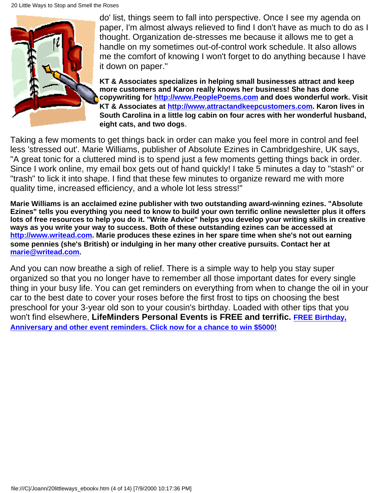

do' list, things seem to fall into perspective. Once I see my agenda on paper, I'm almost always relieved to find I don't have as much to do as I thought. Organization de-stresses me because it allows me to get a handle on my sometimes out-of-control work schedule. It also allows me the comfort of knowing I won't forget to do anything because I have it down on paper."

**KT & Associates specializes in helping small businesses attract and keep more customers and Karon really knows her business! She has done copywriting for [http://www.PeoplePoems.com](http://www.peoplepoems.com%20/) and does wonderful work. Visit KT & Associates at [http://www.attractandkeepcustomers.com](http://www.attractandkeepcustomers.com/). Karon lives in South Carolina in a little log cabin on four acres with her wonderful husband, eight cats, and two dogs**.

Taking a few moments to get things back in order can make you feel more in control and feel less 'stressed out'. Marie Williams, publisher of Absolute Ezines in Cambridgeshire, UK says, "A great tonic for a cluttered mind is to spend just a few moments getting things back in order. Since I work online, my email box gets out of hand quickly! I take 5 minutes a day to "stash" or "trash" to lick it into shape. I find that these few minutes to organize reward me with more quality time, increased efficiency, and a whole lot less stress!"

**Marie Williams is an acclaimed ezine publisher with two outstanding award-winning ezines. "Absolute Ezines" tells you everything you need to know to build your own terrific online newsletter plus it offers lots of free resources to help you do it. "Write Advice" helps you develop your writing skills in creative ways as you write your way to success. Both of these outstanding ezines can be accessed at [http://www.writead.com](http://www.writead.com/). Marie produces these ezines in her spare time when she's not out earning some pennies (she's British) or indulging in her many other creative pursuits. Contact her at [marie@writead.com.](mailto:marie@writead.com)**

And you can now breathe a sigh of relief. There is a simple way to help you stay super organized so that you no longer have to remember all those important dates for every single thing in your busy life. You can get reminders on everything from when to change the oil in your car to the best date to cover your roses before the first frost to tips on choosing the best preschool for your 3-year old son to your cousin's birthday. Loaded with other tips that you won't find elsewhere, **LifeMinders Personal Events is FREE and terrific. [FREE Birthday,](http://www.lfmn.com/l/index.asp?aid=41557&mktg=LAFI599) [Anniversary and other event reminders. Click now for a chance to win \\$5000!](http://www.lfmn.com/l/index.asp?aid=41557&mktg=LAFI599)**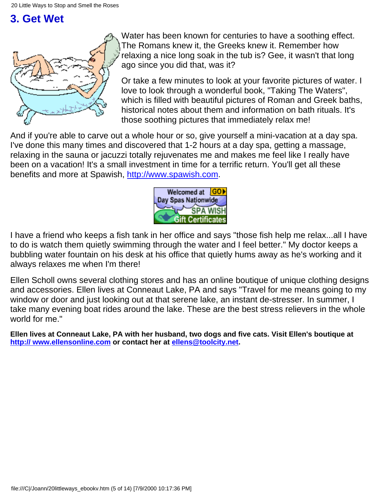# **3. Get Wet**



Water has been known for centuries to have a soothing effect. The Romans knew it, the Greeks knew it. Remember how relaxing a nice long soak in the tub is? Gee, it wasn't that long ago since you did that, was it?

Or take a few minutes to look at your favorite pictures of water. I love to look through a wonderful book, "Taking The Waters", which is filled with beautiful pictures of Roman and Greek baths, historical notes about them and information on bath rituals. It's those soothing pictures that immediately relax me!

And if you're able to carve out a whole hour or so, give yourself a mini-vacation at a day spa. I've done this many times and discovered that 1-2 hours at a day spa, getting a massage, relaxing in the sauna or jacuzzi totally rejuvenates me and makes me feel like I really have been on a vacation! It's a small investment in time for a terrific return. You'll get all these benefits and more at Spawish, [http://www.spawish.com.](http://www.commission-junction.com/track/track.dll?AID=19657&PID=470126&URL=http%3A//www.spawish.com)



I have a friend who keeps a fish tank in her office and says "those fish help me relax...all I have to do is watch them quietly swimming through the water and I feel better." My doctor keeps a bubbling water fountain on his desk at his office that quietly hums away as he's working and it always relaxes me when I'm there!

Ellen Scholl owns several clothing stores and has an online boutique of unique clothing designs and accessories. Ellen lives at Conneaut Lake, PA and says "Travel for me means going to my window or door and just looking out at that serene lake, an instant de-stresser. In summer, I take many evening boat rides around the lake. These are the best stress relievers in the whole world for me."

**Ellen lives at Conneaut Lake, PA with her husband, two dogs and five cats. Visit Ellen's boutique at [http:// www.ellensonline.com](http://www.ellensonline.com/) or contact her at [ellens@toolcity.net](mailto:ellens@toolcity.net).**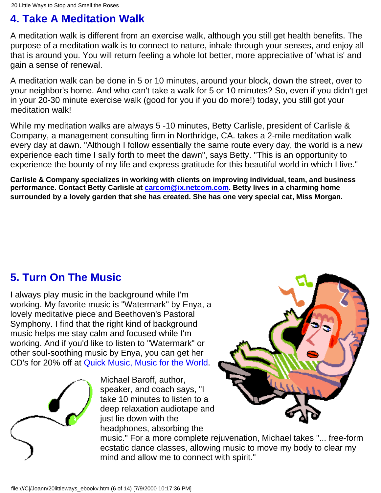# **4. Take A Meditation Walk**

A meditation walk is different from an exercise walk, although you still get health benefits. The purpose of a meditation walk is to connect to nature, inhale through your senses, and enjoy all that is around you. You will return feeling a whole lot better, more appreciative of 'what is' and gain a sense of renewal.

A meditation walk can be done in 5 or 10 minutes, around your block, down the street, over to your neighbor's home. And who can't take a walk for 5 or 10 minutes? So, even if you didn't get in your 20-30 minute exercise walk (good for you if you do more!) today, you still got your meditation walk!

While my meditation walks are always 5 -10 minutes, Betty Carlisle, president of Carlisle & Company, a management consulting firm in Northridge, CA. takes a 2-mile meditation walk every day at dawn. "Although I follow essentially the same route every day, the world is a new experience each time I sally forth to meet the dawn", says Betty. "This is an opportunity to experience the bounty of my life and express gratitude for this beautiful world in which I live."

**Carlisle & Company specializes in working with clients on improving individual, team, and business performance. Contact Betty Carlisle at [carcom@ix.netcom.com.](mailto:carcom@ix.netcom.com) Betty lives in a charming home surrounded by a lovely garden that she has created. She has one very special cat, Miss Morgan.**

# **5. Turn On The Music**

I always play music in the background while I'm working. My favorite music is "Watermark" by Enya, a lovely meditative piece and Beethoven's Pastoral Symphony. I find that the right kind of background music helps me stay calm and focused while I'm working. And if you'd like to listen to "Watermark" or other soul-soothing music by Enya, you can get her CD's for 20% off at [Quick Music, Music for the World](http://hop.clickbank.net/?miacal/marketplace%20).



Michael Baroff, author, speaker, and coach says, "I take 10 minutes to listen to a deep relaxation audiotape and just lie down with the headphones, absorbing the



music." For a more complete rejuvenation, Michael takes "... free-form ecstatic dance classes, allowing music to move my body to clear my mind and allow me to connect with spirit."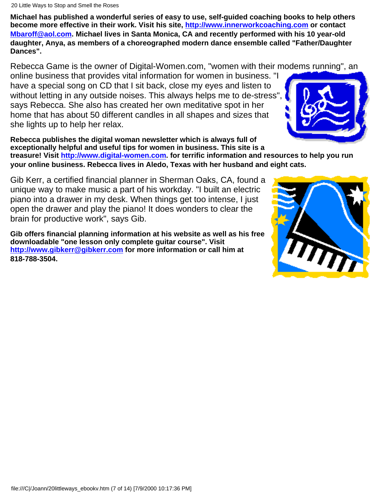**Michael has published a wonderful series of easy to use, self-guided coaching books to help others become more effective in their work. Visit his site, [http://www.innerworkcoaching.com](http://www.innerworkcoaching.com/) or contact [Mbaroff@aol.com](mailto:Mbaroff@aol.com). Michael lives in Santa Monica, CA and recently performed with his 10 year-old daughter, Anya, as members of a choreographed modern dance ensemble called "Father/Daughter Dances".**

Rebecca Game is the owner of Digital-Women.com, "women with their modems running", an

online business that provides vital information for women in business. "I have a special song on CD that I sit back, close my eyes and listen to without letting in any outside noises. This always helps me to de-stress" says Rebecca. She also has created her own meditative spot in her home that has about 50 different candles in all shapes and sizes that she lights up to help her relax.

**Rebecca publishes the digital woman newsletter which is always full of exceptionally helpful and useful tips for women in business. This site is a**

**treasure! Visit [http://www.digital-women.com](http://www.digital-women.com/). for terrific information and resources to help you run your online business. Rebecca lives in Aledo, Texas with her husband and eight cats.**

Gib Kerr, a certified financial planner in Sherman Oaks, CA, found a unique way to make music a part of his workday. "I built an electric piano into a drawer in my desk. When things get too intense, I just open the drawer and play the piano! It does wonders to clear the brain for productive work", says Gib.

**Gib offers financial planning information at his website as well as his free downloadable "one lesson only complete guitar course". Visit [http://www.gibkerr@gibkerr.com](http://www.gibkerr@gibkerr.com/) for more information or call him at 818-788-3504.**



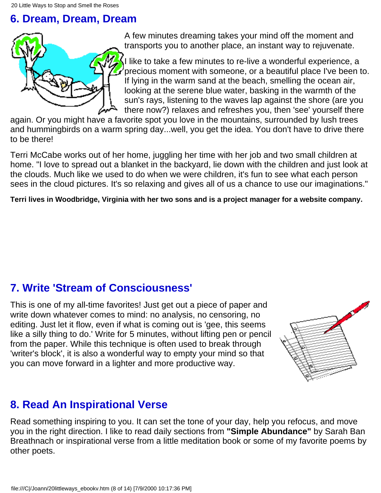#### **6. Dream, Dream, Dream**



A few minutes dreaming takes your mind off the moment and transports you to another place, an instant way to rejuvenate.

I like to take a few minutes to re-live a wonderful experience, a precious moment with someone, or a beautiful place I've been to. If lying in the warm sand at the beach, smelling the ocean air, looking at the serene blue water, basking in the warmth of the sun's rays, listening to the waves lap against the shore (are you there now?) relaxes and refreshes you, then 'see' yourself there

again. Or you might have a favorite spot you love in the mountains, surrounded by lush trees and hummingbirds on a warm spring day...well, you get the idea. You don't have to drive there to be there!

Terri McCabe works out of her home, juggling her time with her job and two small children at home. "I love to spread out a blanket in the backyard, lie down with the children and just look at the clouds. Much like we used to do when we were children, it's fun to see what each person sees in the cloud pictures. It's so relaxing and gives all of us a chance to use our imaginations."

**Terri lives in Woodbridge, Virginia with her two sons and is a project manager for a website company.**

# **7. Write 'Stream of Consciousness'**

This is one of my all-time favorites! Just get out a piece of paper and write down whatever comes to mind: no analysis, no censoring, no editing. Just let it flow, even if what is coming out is 'gee, this seems like a silly thing to do.' Write for 5 minutes, without lifting pen or pencil from the paper. While this technique is often used to break through 'writer's block', it is also a wonderful way to empty your mind so that you can move forward in a lighter and more productive way.



#### **8. Read An Inspirational Verse**

Read something inspiring to you. It can set the tone of your day, help you refocus, and move you in the right direction. I like to read daily sections from **"Simple Abundance"** by Sarah Ban Breathnach or inspirational verse from a little meditation book or some of my favorite poems by other poets.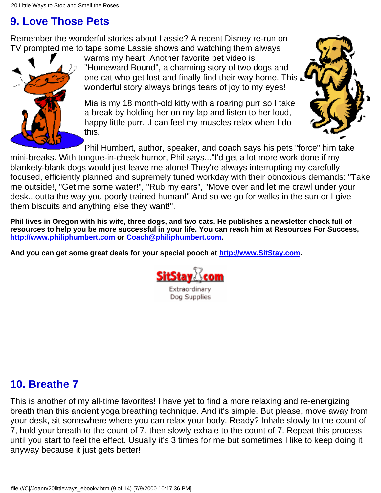# **9. Love Those Pets**

Remember the wonderful stories about Lassie? A recent Disney re-run on TV prompted me to tape some Lassie shows and watching them always



warms my heart. Another favorite pet video is "Homeward Bound", a charming story of two dogs and one cat who get lost and finally find their way home. This wonderful story always brings tears of joy to my eyes!

Mia is my 18 month-old kitty with a roaring purr so I take a break by holding her on my lap and listen to her loud, happy little purr...I can feel my muscles relax when I do this.



Phil Humbert, author, speaker, and coach says his pets "force" him take mini-breaks. With tongue-in-cheek humor, Phil says..."I'd get a lot more work done if my blankety-blank dogs would just leave me alone! They're always interrupting my carefully focused, efficiently planned and supremely tuned workday with their obnoxious demands: "Take me outside!, "Get me some water!", "Rub my ears", "Move over and let me crawl under your desk...outta the way you poorly trained human!" And so we go for walks in the sun or I give them biscuits and anything else they want!".

**Phil lives in Oregon with his wife, three dogs, and two cats. He publishes a newsletter chock full of resources to help you be more successful in your life. You can reach him at Resources For Success, [http://www.philiphumbert.com](http://www.philiphumbert.com/) or [Coach@philiphumbert.com](mailto:Coach@philiphumbert.com).**

**And you can get some great deals for your special pooch at [http://www.SitStay.com.](http://www.commission-junction.com/track/track.dll?AID=437946&PID=470126&URL=http%3A//www.sitstay.com/cgi-bin/cj.pl)**



#### **10. Breathe 7**

This is another of my all-time favorites! I have yet to find a more relaxing and re-energizing breath than this ancient yoga breathing technique. And it's simple. But please, move away from your desk, sit somewhere where you can relax your body. Ready? Inhale slowly to the count of 7, hold your breath to the count of 7, then slowly exhale to the count of 7. Repeat this process until you start to feel the effect. Usually it's 3 times for me but sometimes I like to keep doing it anyway because it just gets better!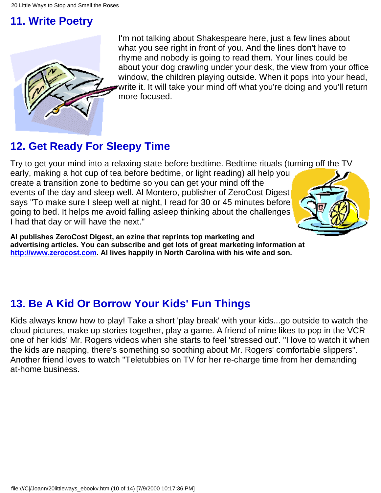# **11. Write Poetry**



I'm not talking about Shakespeare here, just a few lines about what you see right in front of you. And the lines don't have to rhyme and nobody is going to read them. Your lines could be about your dog crawling under your desk, the view from your office window, the children playing outside. When it pops into your head, write it. It will take your mind off what you're doing and you'll return more focused.

# **12. Get Ready For Sleepy Time**

Try to get your mind into a relaxing state before bedtime. Bedtime rituals (turning off the TV

early, making a hot cup of tea before bedtime, or light reading) all help you create a transition zone to bedtime so you can get your mind off the events of the day and sleep well. Al Montero, publisher of ZeroCost Digest says "To make sure I sleep well at night, I read for 30 or 45 minutes before going to bed. It helps me avoid falling asleep thinking about the challenges I had that day or will have the next."



**Al publishes ZeroCost Digest, an ezine that reprints top marketing and advertising articles. You can subscribe and get lots of great marketing information at [http://www.zerocost.com](http://www.zerocost.com/). Al lives happily in North Carolina with his wife and son.**

# **13. Be A Kid Or Borrow Your Kids' Fun Things**

Kids always know how to play! Take a short 'play break' with your kids...go outside to watch the cloud pictures, make up stories together, play a game. A friend of mine likes to pop in the VCR one of her kids' Mr. Rogers videos when she starts to feel 'stressed out'. "I love to watch it when the kids are napping, there's something so soothing about Mr. Rogers' comfortable slippers". Another friend loves to watch "Teletubbies on TV for her re-charge time from her demanding at-home business.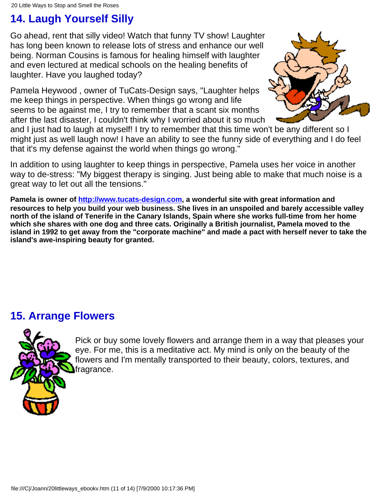# **14. Laugh Yourself Silly**

Go ahead, rent that silly video! Watch that funny TV show! Laughter has long been known to release lots of stress and enhance our well being. Norman Cousins is famous for healing himself with laughter and even lectured at medical schools on the healing benefits of laughter. Have you laughed today?

Pamela Heywood , owner of TuCats-Design says, "Laughter helps me keep things in perspective. When things go wrong and life seems to be against me, I try to remember that a scant six months after the last disaster, I couldn't think why I worried about it so much



and I just had to laugh at myself! I try to remember that this time won't be any different so I might just as well laugh now! I have an ability to see the funny side of everything and I do feel that it's my defense against the world when things go wrong."

In addition to using laughter to keep things in perspective, Pamela uses her voice in another way to de-stress: "My biggest therapy is singing. Just being able to make that much noise is a great way to let out all the tensions."

**Pamela is owner of [http://www.tucats-design.com,](http://www.tucats-design.com/) a wonderful site with great information and resources to help you build your web business. She lives in an unspoiled and barely accessible valley north of the island of Tenerife in the Canary Islands, Spain where she works full-time from her home which she shares with one dog and three cats. Originally a British journalist, Pamela moved to the island in 1992 to get away from the "corporate machine" and made a pact with herself never to take the island's awe-inspiring beauty for granted.**

# **15. Arrange Flowers**



Pick or buy some lovely flowers and arrange them in a way that pleases your eye. For me, this is a meditative act. My mind is only on the beauty of the flowers and I'm mentally transported to their beauty, colors, textures, and fragrance.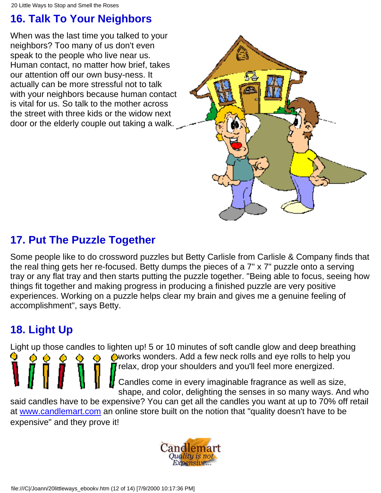# **16. Talk To Your Neighbors**

When was the last time you talked to your neighbors? Too many of us don't even speak to the people who live near us. Human contact, no matter how brief, takes our attention off our own busy-ness. It actually can be more stressful not to talk with your neighbors because human contact is vital for us. So talk to the mother across the street with three kids or the widow next door or the elderly couple out taking a walk.



# **17. Put The Puzzle Together**

Some people like to do crossword puzzles but Betty Carlisle from Carlisle & Company finds that the real thing gets her re-focused. Betty dumps the pieces of a 7" x 7" puzzle onto a serving tray or any flat tray and then starts putting the puzzle together. "Being able to focus, seeing how things fit together and making progress in producing a finished puzzle are very positive experiences. Working on a puzzle helps clear my brain and gives me a genuine feeling of accomplishment", says Betty.

# **18. Light Up**

Light up those candles to lighten up! 5 or 10 minutes of soft candle glow and deep breathing

works wonders. Add a few neck rolls and eye rolls to help you **r** relax, drop your shoulders and you'll feel more energized.

Candles come in every imaginable fragrance as well as size, shape, and color, delighting the senses in so many ways. And who

said candles have to be expensive? You can get all the candles you want at up to 70% off retail at [www.candlemart.com](http://www.commission-junction.com/track/track.dll?AID=55516&PID=470126&URL=http%3A//www.Candlemart.com) an online store built on the notion that "quality doesn't have to be expensive" and they prove it!

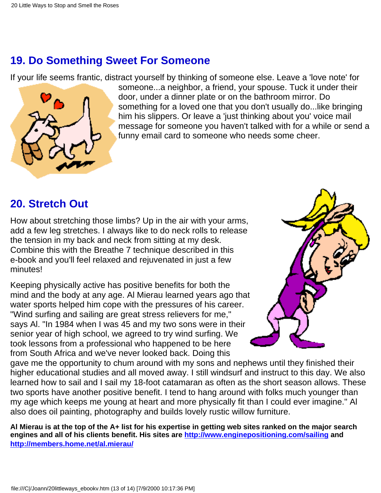### **19. Do Something Sweet For Someone**

If your life seems frantic, distract yourself by thinking of someone else. Leave a 'love note' for



someone...a neighbor, a friend, your spouse. Tuck it under their door, under a dinner plate or on the bathroom mirror. Do something for a loved one that you don't usually do...like bringing him his slippers. Or leave a 'just thinking about you' voice mail message for someone you haven't talked with for a while or send a funny email card to someone who needs some cheer.

#### **20. Stretch Out**

How about stretching those limbs? Up in the air with your arms, add a few leg stretches. I always like to do neck rolls to release the tension in my back and neck from sitting at my desk. Combine this with the Breathe 7 technique described in this e-book and you'll feel relaxed and rejuvenated in just a few minutes!

Keeping physically active has positive benefits for both the mind and the body at any age. Al Mierau learned years ago that water sports helped him cope with the pressures of his career. "Wind surfing and sailing are great stress relievers for me," says Al. "In 1984 when I was 45 and my two sons were in their senior year of high school, we agreed to try wind surfing. We took lessons from a professional who happened to be here from South Africa and we've never looked back. Doing this



gave me the opportunity to chum around with my sons and nephews until they finished their higher educational studies and all moved away. I still windsurf and instruct to this day. We also learned how to sail and I sail my 18-foot catamaran as often as the short season allows. These two sports have another positive benefit. I tend to hang around with folks much younger than my age which keeps me young at heart and more physically fit than I could ever imagine." Al also does oil painting, photography and builds lovely rustic willow furniture.

**Al Mierau is at the top of the A+ list for his expertise in getting web sites ranked on the major search engines and all of his clients benefit. His sites are <http://www.enginepositioning.com/sailing> and [http://members.home.net/al.mierau/](http://members.home.net/al.mierau)**